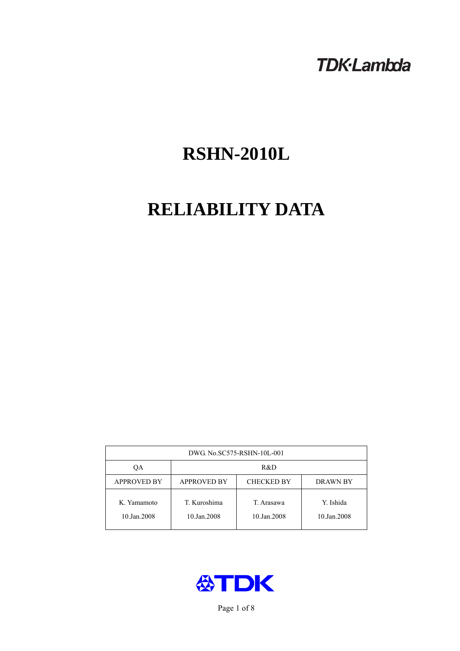# **TDK-Lambda**

# **RSHN-2010L**

# **RELIABILITY DATA**

| DWG. No.SC575-RSHN-10L-001 |                                                     |                           |                          |  |  |
|----------------------------|-----------------------------------------------------|---------------------------|--------------------------|--|--|
| OА                         | R&D                                                 |                           |                          |  |  |
| <b>APPROVED BY</b>         | <b>APPROVED BY</b><br><b>CHECKED BY</b><br>DRAWN BY |                           |                          |  |  |
| K. Yamamoto<br>10.Jan.2008 | T. Kuroshima<br>10.Jan.2008                         | T. Arasawa<br>10.Jan.2008 | Y. Ishida<br>10.Jan.2008 |  |  |



Page 1 of 8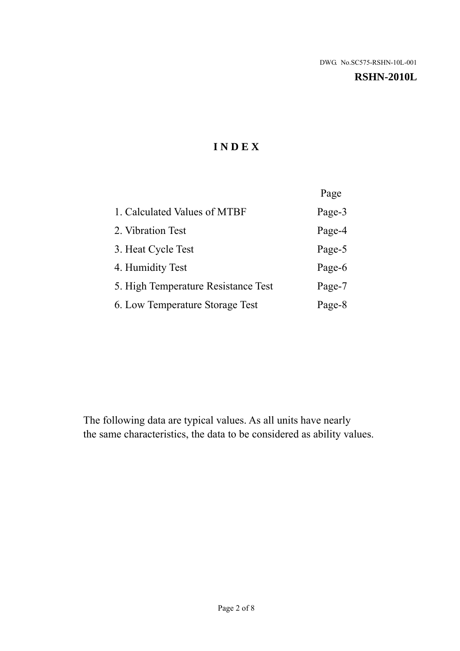#### **RSHN-2010L**

# **I N D E X**

|                                     | Page   |
|-------------------------------------|--------|
| 1. Calculated Values of MTBF        | Page-3 |
| 2. Vibration Test                   | Page-4 |
| 3. Heat Cycle Test                  | Page-5 |
| 4. Humidity Test                    | Page-6 |
| 5. High Temperature Resistance Test | Page-7 |
| 6. Low Temperature Storage Test     | Page-8 |

The following data are typical values. As all units have nearly the same characteristics, the data to be considered as ability values.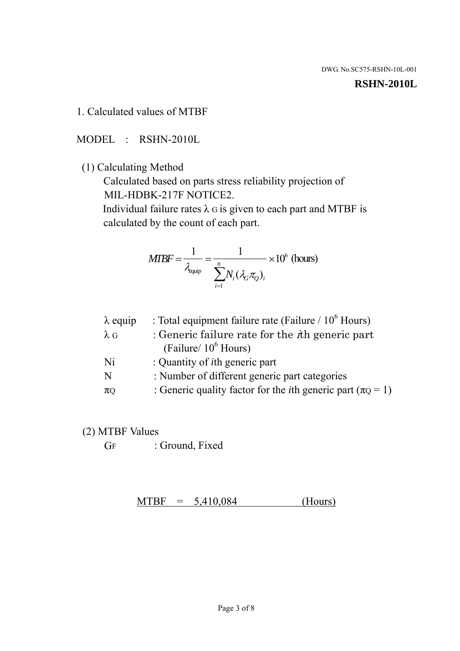#### **RSHN-2010L**

1. Calculated values of MTBF

MODEL : RSHN-2010L

(1) Calculating Method

 Calculated based on parts stress reliability projection of MIL-HDBK-217F NOTICE2.

Individual failure rates  $\lambda$  G is given to each part and MTBF is calculated by the count of each part.

$$
MTBF = \frac{1}{\lambda_{\text{equip}}} = \frac{1}{\sum_{i=1}^{n} N_i (\lambda_G \pi_Q)_i} \times 10^6 \text{ (hours)}
$$

| $\lambda$ equip | : Total equipment failure rate (Failure $/ 10^6$ Hours)                   |
|-----------------|---------------------------------------------------------------------------|
| $\lambda$ G     | : Generic failure rate for the $\hbar$ generic part                       |
|                 | (Failure/ $10^6$ Hours)                                                   |
| Ni              | : Quantity of <i>i</i> th generic part                                    |
| N               | : Number of different generic part categories                             |
| $\pi$ Q         | : Generic quality factor for the <i>i</i> th generic part ( $\pi Q = 1$ ) |

- (2) MTBF Values
	- GF : Ground, Fixed

 $MTBF = 5,410,084$  (Hours)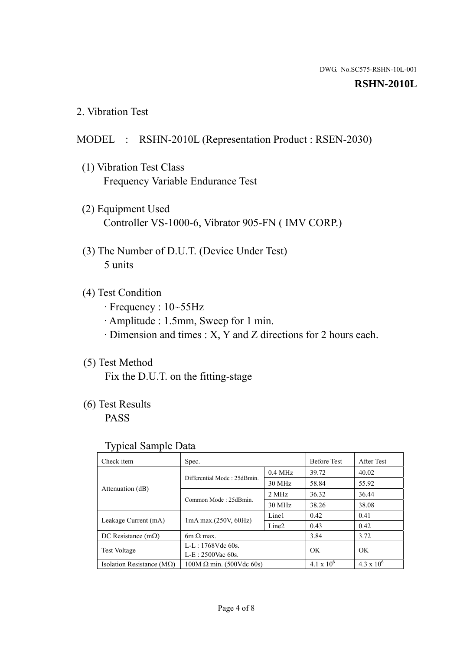#### **RSHN-2010L**

2. Vibration Test

#### MODEL : RSHN-2010L (Representation Product : RSEN-2030)

- (1) Vibration Test Class Frequency Variable Endurance Test
- (2) Equipment Used Controller VS-1000-6, Vibrator 905-FN ( IMV CORP.)
- (3) The Number of D.U.T. (Device Under Test) 5 units
- (4) Test Condition
	- · Frequency : 10~55Hz
	- · Amplitude : 1.5mm, Sweep for 1 min.
	- · Dimension and times : X, Y and Z directions for 2 hours each.

## (5) Test Method

Fix the D.U.T. on the fitting-stage

# (6) Test Results

PASS

#### Typical Sample Data

| ັ່                                 |                                                         |           |                     |                     |
|------------------------------------|---------------------------------------------------------|-----------|---------------------|---------------------|
| Check item                         | Spec.                                                   |           | <b>Before Test</b>  | After Test          |
|                                    | Differential Mode: 25dBmin.                             | $0.4$ MHz | 39.72               | 40.02               |
|                                    |                                                         | 30 MHz    | 58.84               | 55.92               |
| Attenuation (dB)                   | Common Mode: 25dBmin.                                   | 2 MHz     | 36.32               | 36.44               |
|                                    |                                                         | 30 MHz    | 38.26               | 38.08               |
| Leakage Current (mA)               | Line1<br>$1mA$ max. $(250V, 60Hz)$<br>Line <sub>2</sub> |           | 0.42                | 0.41                |
|                                    |                                                         | 0.43      | 0.42                |                     |
| DC Resistance $(m\Omega)$          | 6m $\Omega$ max.                                        |           | 3.84                | 3.72                |
| <b>Test Voltage</b>                | $L-L: 1768Vdc$ 60s.                                     |           | OK                  | OK.                 |
|                                    | $L-E: 2500$ Vac 60s.                                    |           |                     |                     |
| Isolation Resistance ( $M\Omega$ ) | $100M \Omega$ min. (500Vdc 60s)                         |           | $4.1 \times 10^{6}$ | $4.3 \times 10^{6}$ |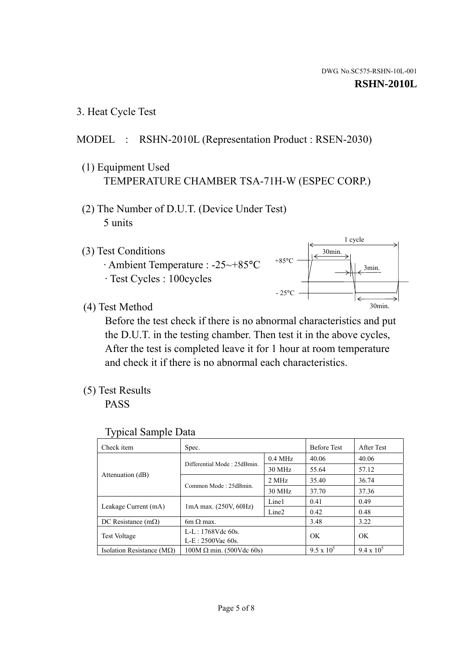3. Heat Cycle Test

## MODEL : RSHN-2010L (Representation Product : RSEN-2030)

- (1) Equipment Used TEMPERATURE CHAMBER TSA-71H-W (ESPEC CORP.)
- (2) The Number of D.U.T. (Device Under Test) 5 units
- (3) Test Conditions
	- · Ambient Temperature : -25~+85°C · Test Cycles : 100cycles



(4) Test Method

 Before the test check if there is no abnormal characteristics and put the D.U.T. in the testing chamber. Then test it in the above cycles, After the test is completed leave it for 1 hour at room temperature and check it if there is no abnormal each characteristics.

(5) Test Results

PASS

| <b>Typical Sample Data</b> |  |  |
|----------------------------|--|--|
|----------------------------|--|--|

| Check item                    | Spec.                                                                           |           | <b>Before Test</b> | After Test        |
|-------------------------------|---------------------------------------------------------------------------------|-----------|--------------------|-------------------|
|                               |                                                                                 | $0.4$ MHz | 40.06              | 40.06             |
|                               | Differential Mode: 25dBmin.                                                     | 30 MHz    | 55.64              | 57.12             |
| Attenuation (dB)              | Common Mode: 25dBmin.                                                           | 2 MHz     | 35.40              | 36.74             |
|                               |                                                                                 | 30 MHz    | 37.70              | 37.36             |
|                               | Line1<br>$1mA$ max. $(250V, 60Hz)$<br>Leakage Current (mA)<br>Line <sub>2</sub> |           | 0.41               | 0.49              |
|                               |                                                                                 |           | 0.42               | 0.48              |
| DC Resistance $(m\Omega)$     | $6m \Omega$ max.                                                                |           | 3.48               | 3.22              |
|                               | L-L: $1768V$ de $60s$ .                                                         |           | OK                 | OK                |
|                               | <b>Test Voltage</b><br>$L-E: 2500$ Vac 60s.                                     |           |                    |                   |
| Isolation Resistance ( $MQ$ ) | $100M \Omega$ min. (500Vdc 60s)                                                 |           | $9.5 \times 10^5$  | $9.4 \times 10^5$ |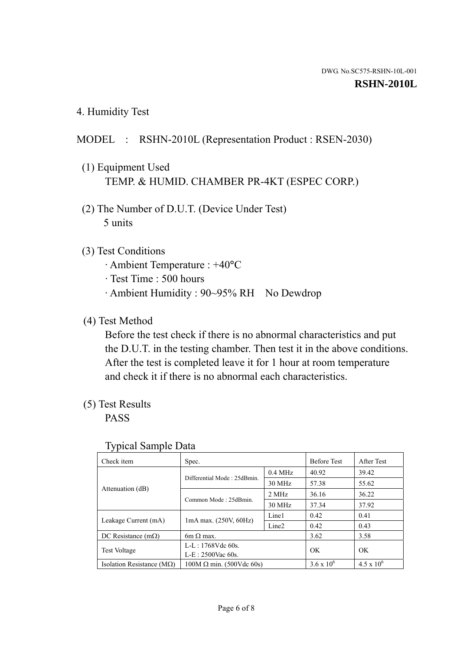4. Humidity Test

### MODEL : RSHN-2010L (Representation Product : RSEN-2030)

- (1) Equipment Used TEMP. & HUMID. CHAMBER PR-4KT (ESPEC CORP.)
- (2) The Number of D.U.T. (Device Under Test) 5 units

### (3) Test Conditions

- · Ambient Temperature : +40°C
- · Test Time : 500 hours
- · Ambient Humidity : 90~95% RH No Dewdrop

#### (4) Test Method

 Before the test check if there is no abnormal characteristics and put the D.U.T. in the testing chamber. Then test it in the above conditions. After the test is completed leave it for 1 hour at room temperature and check it if there is no abnormal each characteristics.

### (5) Test Results

PASS

| . .                                               |                                 |                   |                     |                     |
|---------------------------------------------------|---------------------------------|-------------------|---------------------|---------------------|
| Check item                                        | Spec.                           |                   | <b>Before Test</b>  | After Test          |
|                                                   | Differential Mode: 25dBmin.     | $0.4$ MHz         | 40.92               | 39.42               |
|                                                   |                                 | 30 MHz            | 57.38               | 55.62               |
| Attenuation (dB)                                  | Common Mode: 25dBmin.           | 2 MHz             | 36.16               | 36.22               |
|                                                   |                                 | 30 MHz            | 37.34               | 37.92               |
| $1mA$ max. $(250V, 60Hz)$<br>Leakage Current (mA) |                                 | Line1             | 0.42                | 0.41                |
|                                                   |                                 | Line <sub>2</sub> | 0.42                | 0.43                |
| DC Resistance $(m\Omega)$                         | $6m \Omega$ max.                |                   | 3.62                | 3.58                |
| <b>Test Voltage</b>                               | $L-L: 1768Vdc$ 60s.             |                   | OK                  | OK                  |
|                                                   | $L-E: 2500$ Vac 60s.            |                   |                     |                     |
| Isolation Resistance ( $M\Omega$ )                | $100M \Omega$ min. (500Vdc 60s) |                   | $3.6 \times 10^{6}$ | $4.5 \times 10^{6}$ |

#### Typical Sample Data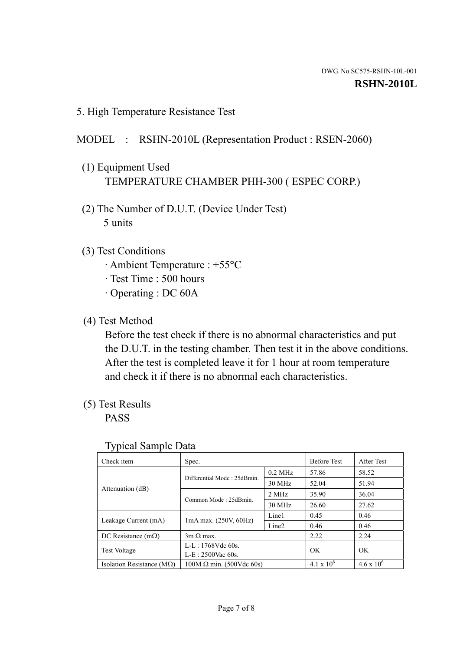5. High Temperature Resistance Test

#### MODEL : RSHN-2010L (Representation Product : RSEN-2060)

- (1) Equipment Used TEMPERATURE CHAMBER PHH-300 ( ESPEC CORP.)
- (2) The Number of D.U.T. (Device Under Test) 5 units
- (3) Test Conditions
	- · Ambient Temperature : +55°C
	- · Test Time : 500 hours
	- · Operating : DC 60A
- (4) Test Method

 Before the test check if there is no abnormal characteristics and put the D.U.T. in the testing chamber. Then test it in the above conditions. After the test is completed leave it for 1 hour at room temperature and check it if there is no abnormal each characteristics.

(5) Test Results

PASS

| ╯┸                                 |                                 |                   |                     |                     |
|------------------------------------|---------------------------------|-------------------|---------------------|---------------------|
| Check item                         | Spec.                           |                   | <b>Before Test</b>  | After Test          |
|                                    | Differential Mode: 25dBmin.     | $0.2$ MHz         | 57.86               | 58.52               |
|                                    |                                 | 30 MHz            | 52.04               | 51.94               |
| Attenuation (dB)                   | Common Mode: 25dBmin.           | 2 MHz             | 35.90               | 36.04               |
|                                    |                                 | 30 MHz            | 26.60               | 27.62               |
| Leakage Current (mA)               | $1mA$ max. $(250V, 60Hz)$       | Line1             | 0.45                | 0.46                |
|                                    |                                 | Line <sub>2</sub> | 0.46                | 0.46                |
| DC Resistance $(m\Omega)$          | $3m \Omega$ max.                |                   | 2.22                | 2.24                |
| <b>Test Voltage</b>                | $L-L: 1768Vdc$ 60s.             |                   | OK                  | OK                  |
|                                    | $L-E: 2500$ Vac 60s.            |                   |                     |                     |
| Isolation Resistance ( $M\Omega$ ) | $100M \Omega$ min. (500Vdc 60s) |                   | $4.1 \times 10^{6}$ | $4.6 \times 10^{6}$ |

#### Typical Sample Data